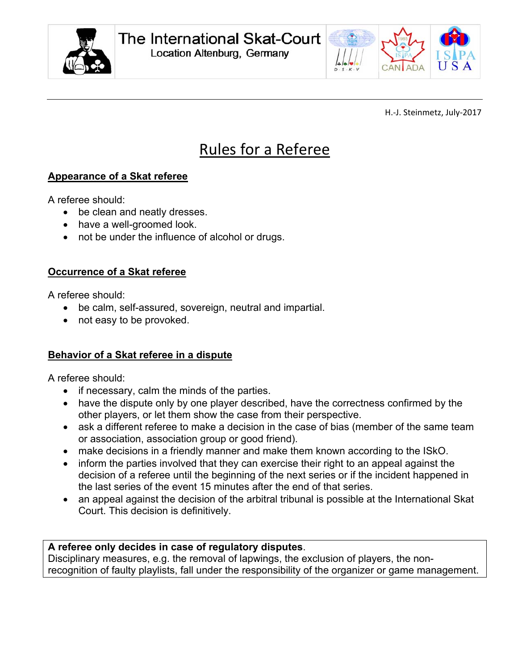



H.‐J. Steinmetz, July‐2017

# Rules for a Referee

## **Appearance of a Skat referee**

A referee should:

- be clean and neatly dresses.
- have a well-groomed look.
- not be under the influence of alcohol or drugs.

### **Occurrence of a Skat referee**

A referee should:

- be calm, self-assured, sovereign, neutral and impartial.
- not easy to be provoked.

### **Behavior of a Skat referee in a dispute**

A referee should:

- if necessary, calm the minds of the parties.
- have the dispute only by one player described, have the correctness confirmed by the other players, or let them show the case from their perspective.
- ask a different referee to make a decision in the case of bias (member of the same team or association, association group or good friend).
- make decisions in a friendly manner and make them known according to the ISkO.
- inform the parties involved that they can exercise their right to an appeal against the decision of a referee until the beginning of the next series or if the incident happened in the last series of the event 15 minutes after the end of that series.
- an appeal against the decision of the arbitral tribunal is possible at the International Skat Court. This decision is definitively.

### **A referee only decides in case of regulatory disputes**.

Disciplinary measures, e.g. the removal of lapwings, the exclusion of players, the nonrecognition of faulty playlists, fall under the responsibility of the organizer or game management.